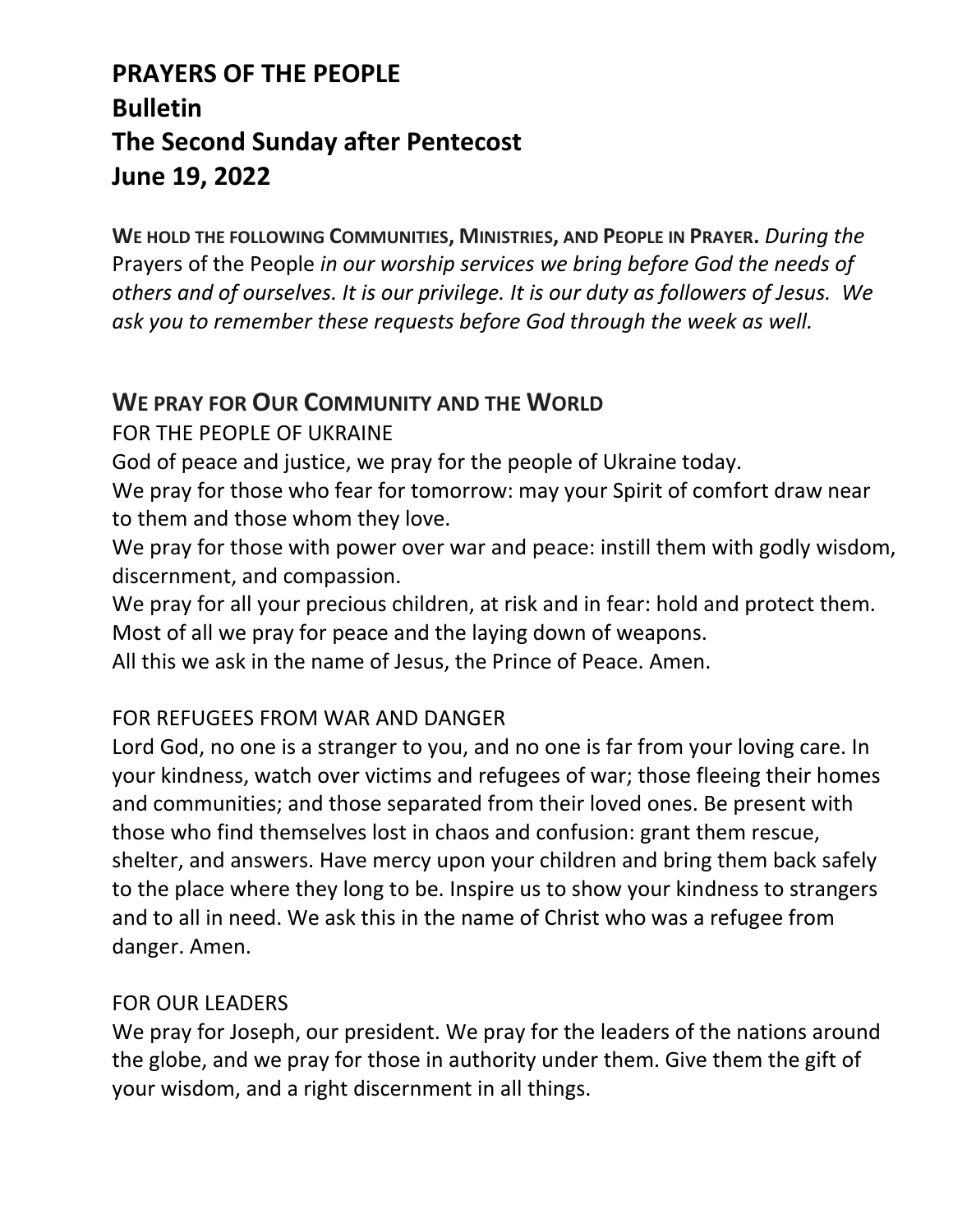## **PRAYERS OF THE PEOPLE Bulletin The Second Sunday after Pentecost June 19, 2022**

**WE HOLD THE FOLLOWING COMMUNITIES, MINISTRIES, AND PEOPLE IN PRAYER.** *During the*  Prayers of the People *in our worship services we bring before God the needs of others and of ourselves. It is our privilege. It is our duty as followers of Jesus. We ask you to remember these requests before God through the week as well.*

### **WE PRAY FOR OUR COMMUNITY AND THE WORLD**

FOR THE PEOPLE OF UKRAINE

God of peace and justice, we pray for the people of Ukraine today.

We pray for those who fear for tomorrow: may your Spirit of comfort draw near to them and those whom they love.

We pray for those with power over war and peace: instill them with godly wisdom, discernment, and compassion.

We pray for all your precious children, at risk and in fear: hold and protect them. Most of all we pray for peace and the laying down of weapons.

All this we ask in the name of Jesus, the Prince of Peace. Amen.

#### FOR REFUGEES FROM WAR AND DANGER

Lord God, no one is a stranger to you, and no one is far from your loving care. In your kindness, watch over victims and refugees of war; those fleeing their homes and communities; and those separated from their loved ones. Be present with those who find themselves lost in chaos and confusion: grant them rescue, shelter, and answers. Have mercy upon your children and bring them back safely to the place where they long to be. Inspire us to show your kindness to strangers and to all in need. We ask this in the name of Christ who was a refugee from danger. Amen.

#### FOR OUR LEADERS

We pray for Joseph, our president. We pray for the leaders of the nations around the globe, and we pray for those in authority under them. Give them the gift of your wisdom, and a right discernment in all things.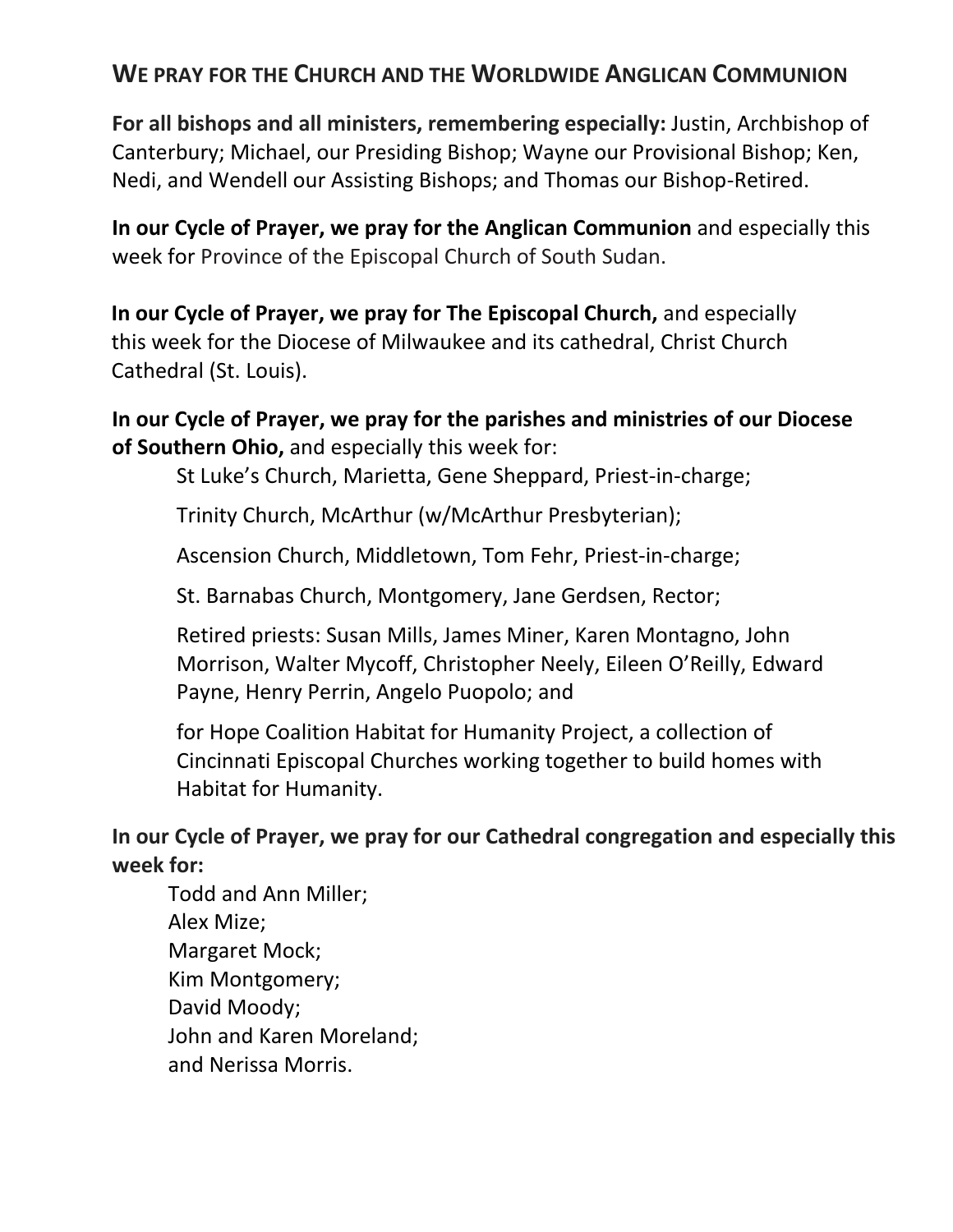#### **WE PRAY FOR THE CHURCH AND THE WORLDWIDE ANGLICAN COMMUNION**

**For all bishops and all ministers, remembering especially:** Justin, Archbishop of Canterbury; Michael, our Presiding Bishop; Wayne our Provisional Bishop; Ken, Nedi, and Wendell our Assisting Bishops; and Thomas our Bishop-Retired.

**In our Cycle of Prayer, we pray for the Anglican Communion** and especially this week for Province of the Episcopal Church of South Sudan.

**In our Cycle of Prayer, we pray for The Episcopal Church,** and especially this week for the Diocese of Milwaukee and its cathedral, Christ Church Cathedral (St. Louis).

**In our Cycle of Prayer, we pray for the parishes and ministries of our Diocese of Southern Ohio,** and especially this week for:

St Luke's Church, Marietta, Gene Sheppard, Priest-in-charge;

Trinity Church, McArthur (w/McArthur Presbyterian);

Ascension Church, Middletown, Tom Fehr, Priest-in-charge;

St. Barnabas Church, Montgomery, Jane Gerdsen, Rector;

Retired priests: Susan Mills, James Miner, Karen Montagno, John Morrison, Walter Mycoff, Christopher Neely, Eileen O'Reilly, Edward Payne, Henry Perrin, Angelo Puopolo; and

for Hope Coalition Habitat for Humanity Project, a collection of Cincinnati Episcopal Churches working together to build homes with Habitat for Humanity.

**In our Cycle of Prayer, we pray for our Cathedral congregation and especially this week for:**

Todd and Ann Miller; Alex Mize; Margaret Mock; Kim Montgomery; David Moody; John and Karen Moreland; and Nerissa Morris.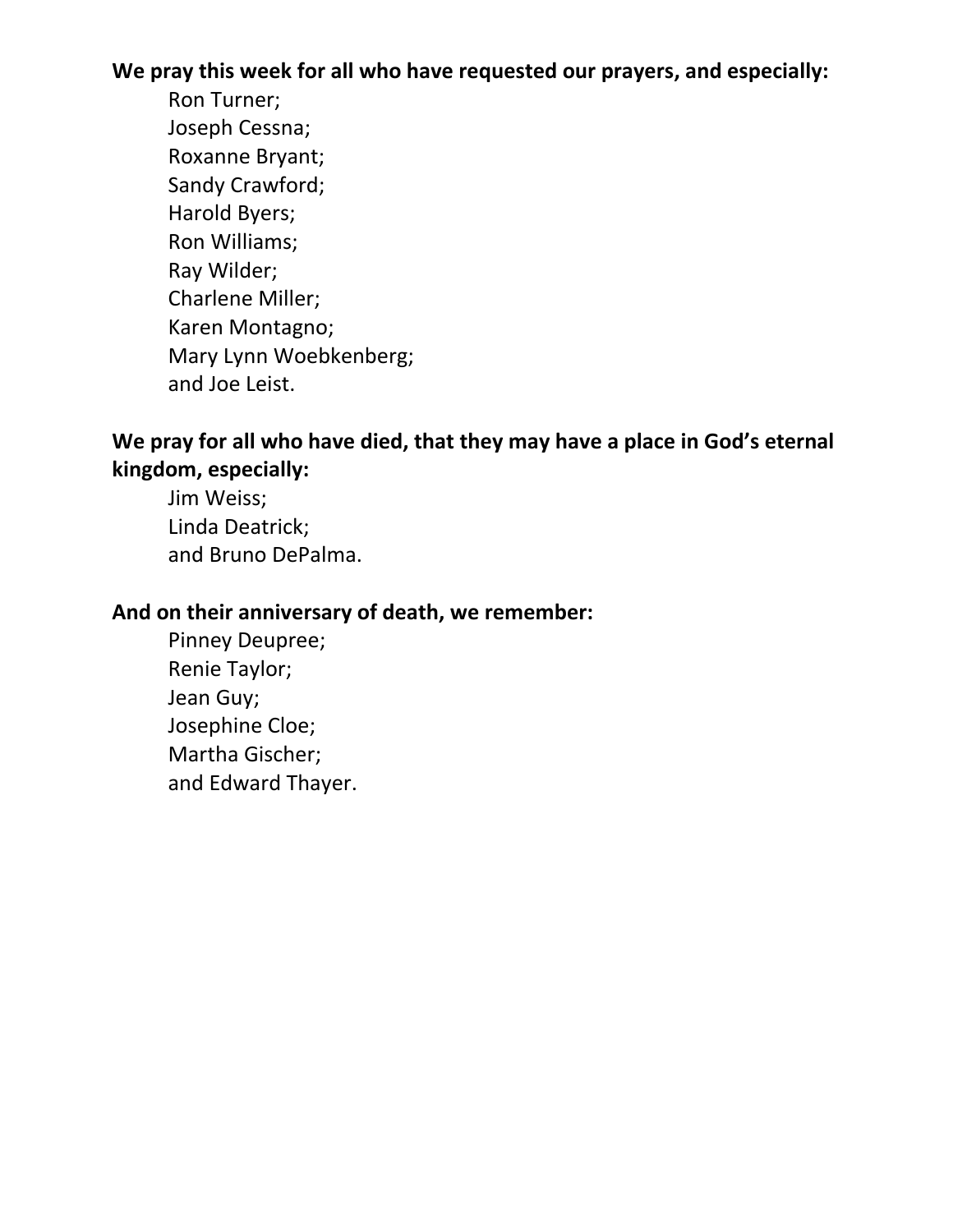**We pray this week for all who have requested our prayers, and especially:**

Ron Turner; Joseph Cessna; Roxanne Bryant; Sandy Crawford; Harold Byers; Ron Williams; Ray Wilder; Charlene Miller; Karen Montagno; Mary Lynn Woebkenberg; and Joe Leist.

#### **We pray for all who have died, that they may have a place in God's eternal kingdom, especially:**

Jim Weiss; Linda Deatrick; and Bruno DePalma.

#### **And on their anniversary of death, we remember:**

Pinney Deupree; Renie Taylor; Jean Guy; Josephine Cloe; Martha Gischer; and Edward Thayer.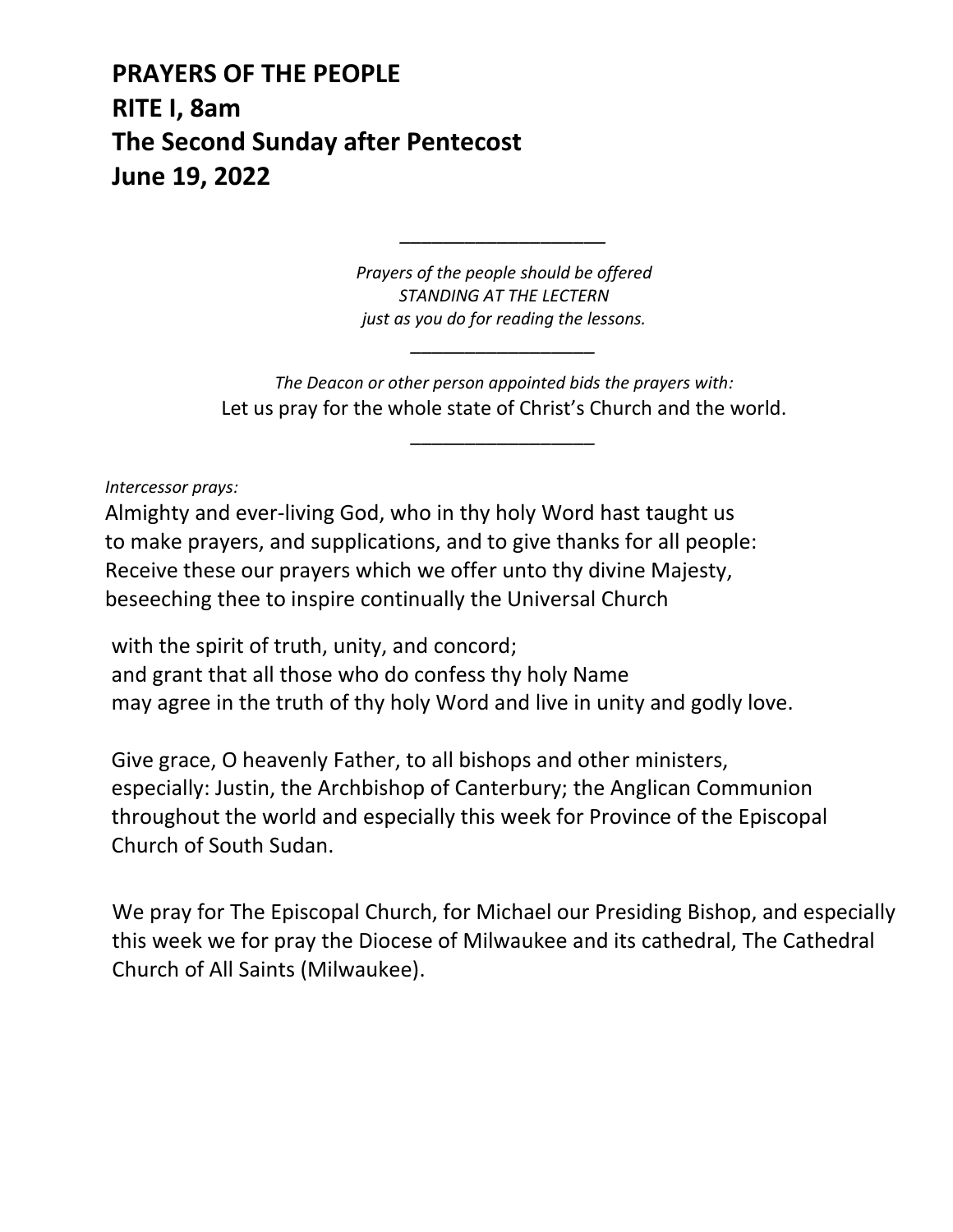**PRAYERS OF THE PEOPLE RITE I, 8am The Second Sunday after Pentecost June 19, 2022**

> *Prayers of the people should be offered STANDING AT THE LECTERN just as you do for reading the lessons.*

> > *\_\_\_\_\_\_\_\_\_\_\_\_\_\_\_\_\_*

*\_\_\_\_\_\_\_\_\_\_\_\_\_\_\_\_\_\_\_*

*The Deacon or other person appointed bids the prayers with:* Let us pray for the whole state of Christ's Church and the world.

*\_\_\_\_\_\_\_\_\_\_\_\_\_\_\_\_\_*

*Intercessor prays:*

Almighty and ever-living God, who in thy holy Word hast taught us to make prayers, and supplications, and to give thanks for all people: Receive these our prayers which we offer unto thy divine Majesty, beseeching thee to inspire continually the Universal Church

with the spirit of truth, unity, and concord; and grant that all those who do confess thy holy Name may agree in the truth of thy holy Word and live in unity and godly love.

Give grace, O heavenly Father, to all bishops and other ministers, especially: Justin, the Archbishop of Canterbury; the Anglican Communion throughout the world and especially this week for Province of the Episcopal Church of South Sudan.

We pray for The Episcopal Church, for Michael our Presiding Bishop, and especially this week we for pray the Diocese of Milwaukee and its cathedral, The Cathedral Church of All Saints (Milwaukee).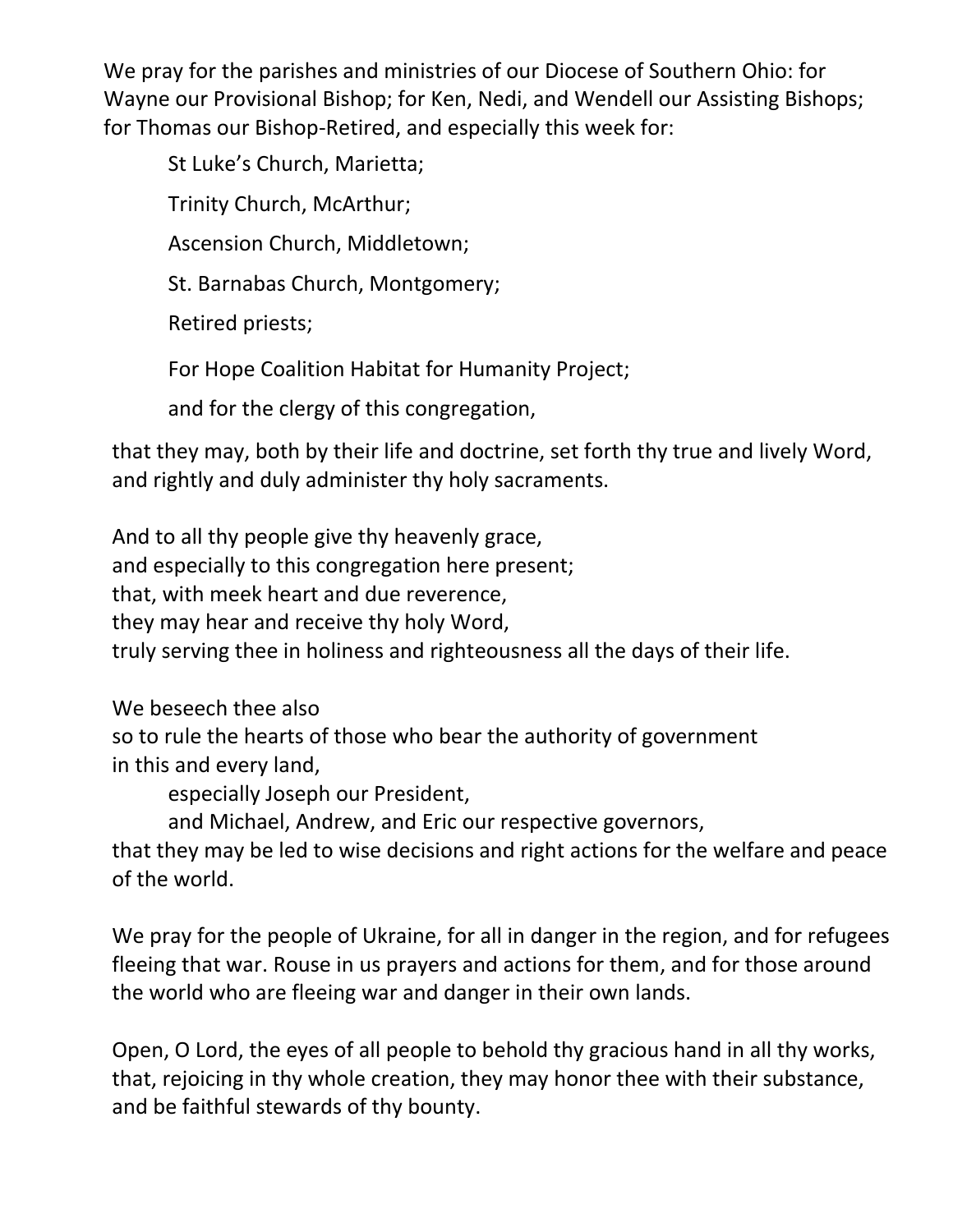We pray for the parishes and ministries of our Diocese of Southern Ohio: for Wayne our Provisional Bishop; for Ken, Nedi, and Wendell our Assisting Bishops; for Thomas our Bishop-Retired, and especially this week for:

St Luke's Church, Marietta;

Trinity Church, McArthur;

Ascension Church, Middletown;

St. Barnabas Church, Montgomery;

Retired priests;

For Hope Coalition Habitat for Humanity Project;

and for the clergy of this congregation,

that they may, both by their life and doctrine, set forth thy true and lively Word, and rightly and duly administer thy holy sacraments.

And to all thy people give thy heavenly grace, and especially to this congregation here present; that, with meek heart and due reverence, they may hear and receive thy holy Word, truly serving thee in holiness and righteousness all the days of their life.

We beseech thee also so to rule the hearts of those who bear the authority of government in this and every land,

especially Joseph our President,

and Michael, Andrew, and Eric our respective governors,

that they may be led to wise decisions and right actions for the welfare and peace of the world.

We pray for the people of Ukraine, for all in danger in the region, and for refugees fleeing that war. Rouse in us prayers and actions for them, and for those around the world who are fleeing war and danger in their own lands.

Open, O Lord, the eyes of all people to behold thy gracious hand in all thy works, that, rejoicing in thy whole creation, they may honor thee with their substance, and be faithful stewards of thy bounty.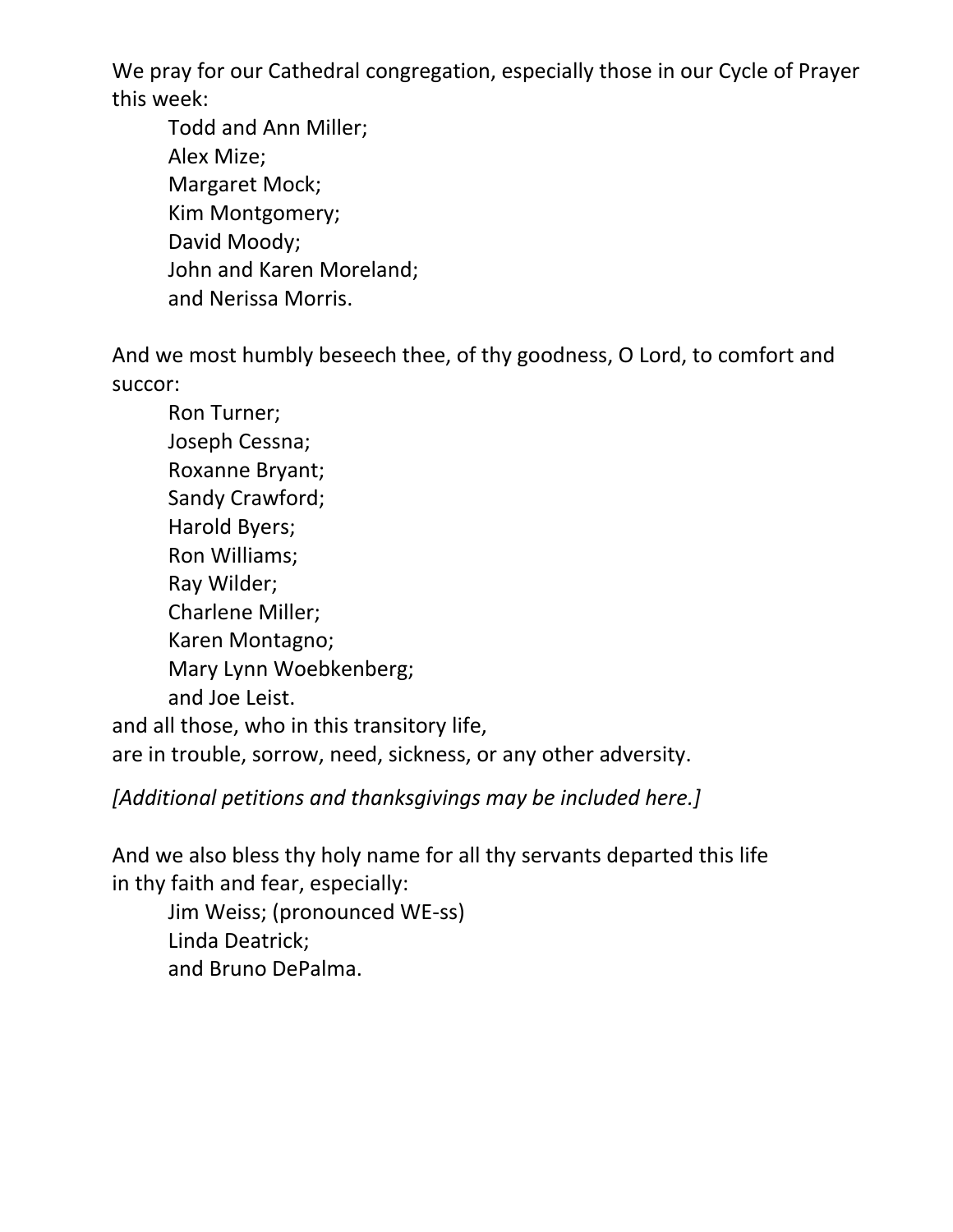We pray for our Cathedral congregation, especially those in our Cycle of Prayer this week:

Todd and Ann Miller; Alex Mize; Margaret Mock; Kim Montgomery; David Moody; John and Karen Moreland; and Nerissa Morris.

And we most humbly beseech thee, of thy goodness, O Lord, to comfort and succor:

Ron Turner; Joseph Cessna; Roxanne Bryant; Sandy Crawford; Harold Byers; Ron Williams; Ray Wilder; Charlene Miller; Karen Montagno; Mary Lynn Woebkenberg; and Joe Leist. and all those, who in this transitory life, are in trouble, sorrow, need, sickness, or any other adversity.

*[Additional petitions and thanksgivings may be included here.]*

And we also bless thy holy name for all thy servants departed this life in thy faith and fear, especially:

Jim Weiss; (pronounced WE-ss) Linda Deatrick; and Bruno DePalma.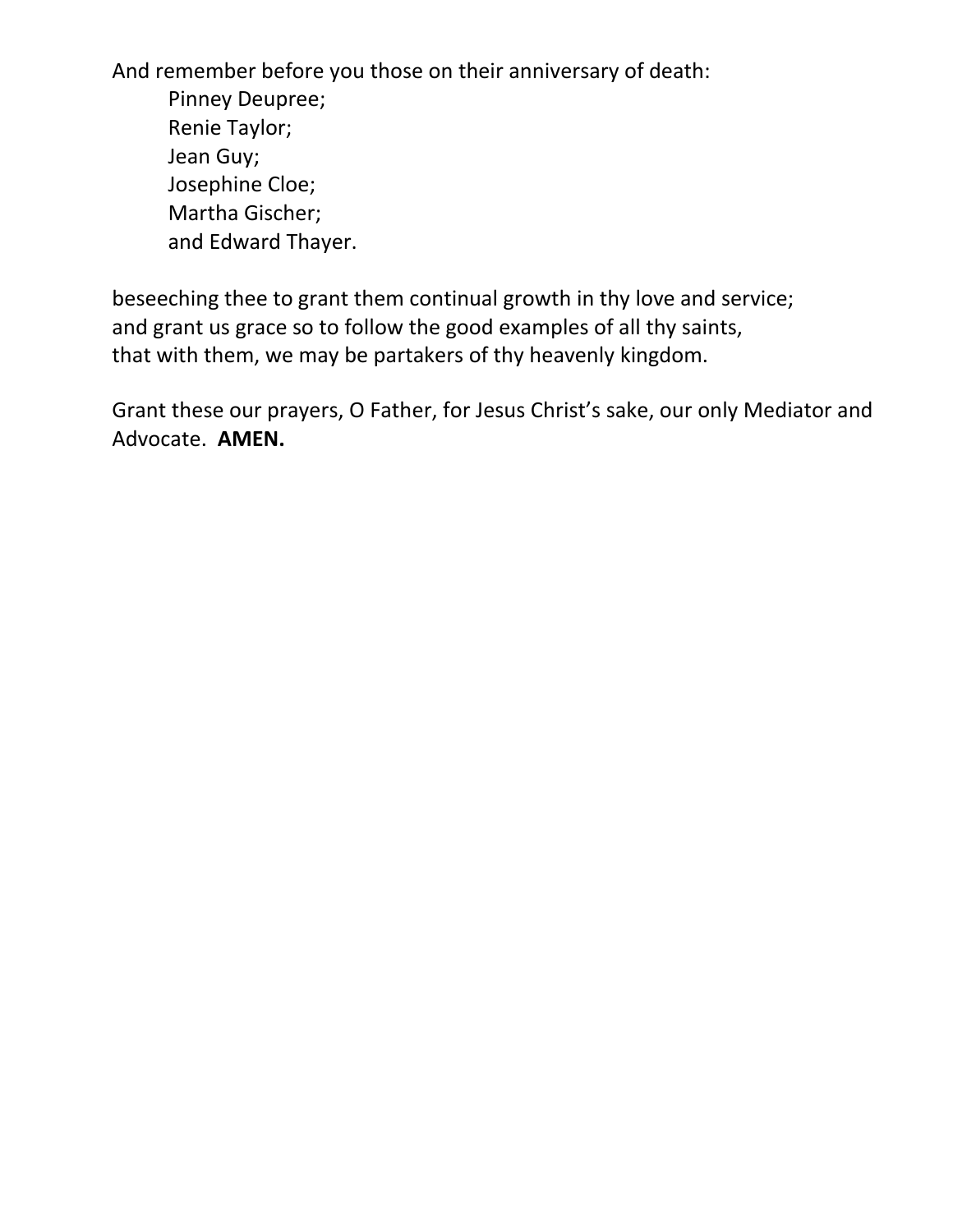And remember before you those on their anniversary of death: Pinney Deupree; Renie Taylor; Jean Guy; Josephine Cloe; Martha Gischer; and Edward Thayer.

beseeching thee to grant them continual growth in thy love and service; and grant us grace so to follow the good examples of all thy saints, that with them, we may be partakers of thy heavenly kingdom.

Grant these our prayers, O Father, for Jesus Christ's sake, our only Mediator and Advocate. **AMEN.**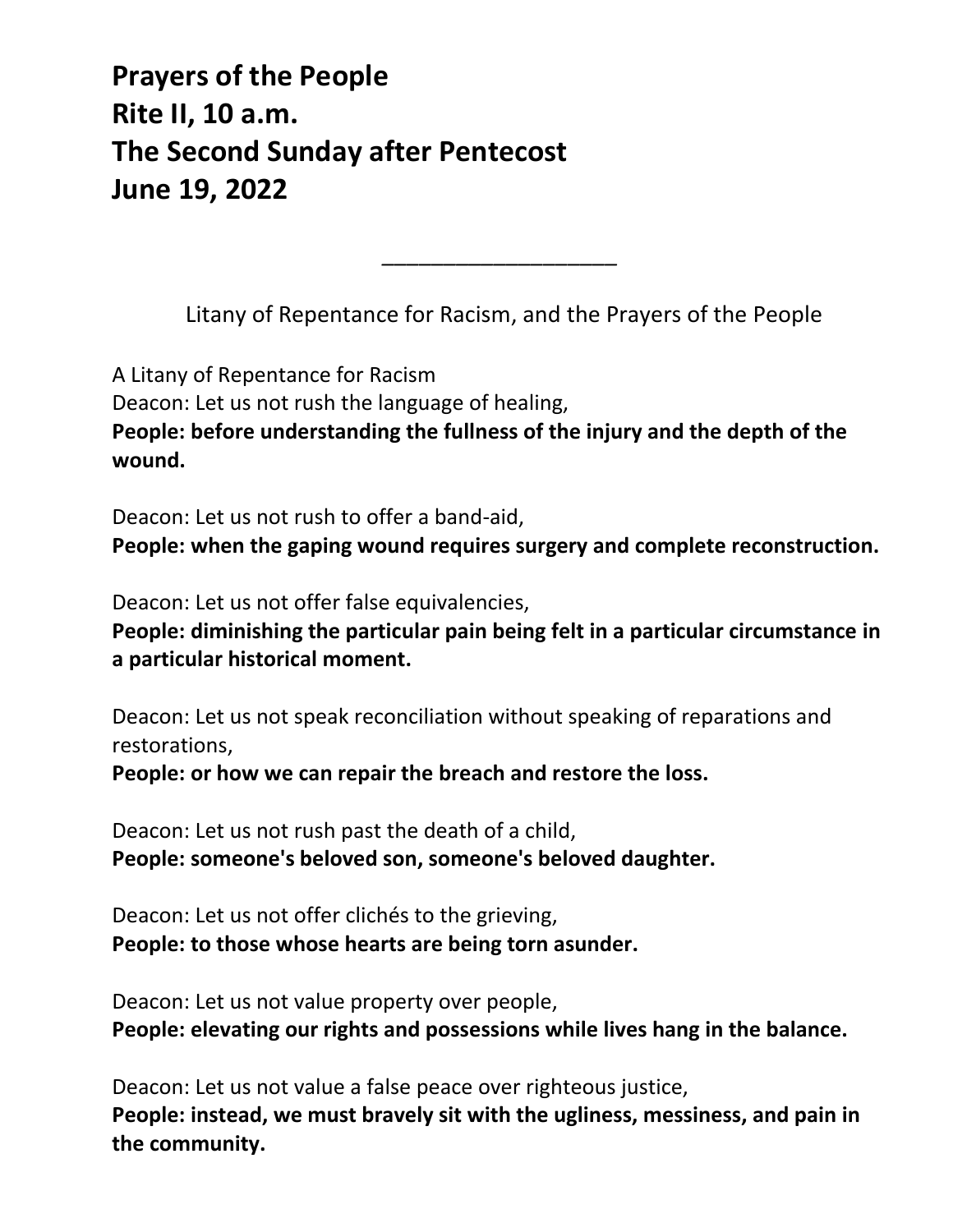# **Prayers of the People Rite II, 10 a.m. The Second Sunday after Pentecost June 19, 2022**

Litany of Repentance for Racism, and the Prayers of the People

*\_\_\_\_\_\_\_\_\_\_\_\_\_\_\_\_\_\_\_*

A Litany of Repentance for Racism Deacon: Let us not rush the language of healing, **People: before understanding the fullness of the injury and the depth of the wound.** 

Deacon: Let us not rush to offer a band-aid,

**People: when the gaping wound requires surgery and complete reconstruction.** 

Deacon: Let us not offer false equivalencies,

**People: diminishing the particular pain being felt in a particular circumstance in a particular historical moment.** 

Deacon: Let us not speak reconciliation without speaking of reparations and restorations,

**People: or how we can repair the breach and restore the loss.** 

Deacon: Let us not rush past the death of a child, **People: someone's beloved son, someone's beloved daughter.** 

Deacon: Let us not offer clichés to the grieving, **People: to those whose hearts are being torn asunder.** 

Deacon: Let us not value property over people, **People: elevating our rights and possessions while lives hang in the balance.** 

Deacon: Let us not value a false peace over righteous justice, **People: instead, we must bravely sit with the ugliness, messiness, and pain in the community.**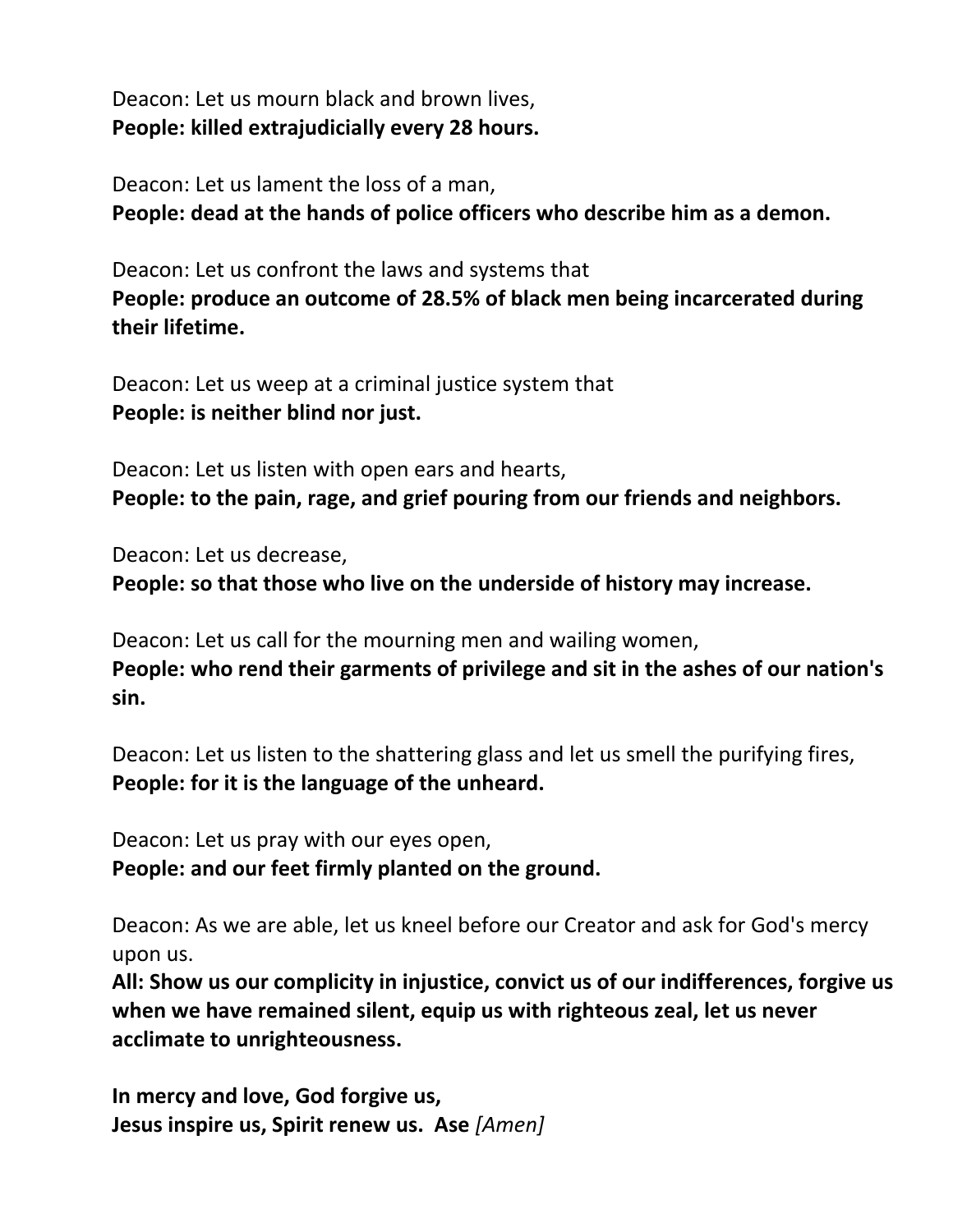Deacon: Let us mourn black and brown lives, **People: killed extrajudicially every 28 hours.** 

Deacon: Let us lament the loss of a man, **People: dead at the hands of police officers who describe him as a demon.** 

Deacon: Let us confront the laws and systems that **People: produce an outcome of 28.5% of black men being incarcerated during their lifetime.** 

Deacon: Let us weep at a criminal justice system that **People: is neither blind nor just.** 

Deacon: Let us listen with open ears and hearts, **People: to the pain, rage, and grief pouring from our friends and neighbors.** 

Deacon: Let us decrease, **People: so that those who live on the underside of history may increase.** 

Deacon: Let us call for the mourning men and wailing women, **People: who rend their garments of privilege and sit in the ashes of our nation's sin.** 

Deacon: Let us listen to the shattering glass and let us smell the purifying fires, **People: for it is the language of the unheard.** 

Deacon: Let us pray with our eyes open, **People: and our feet firmly planted on the ground.** 

Deacon: As we are able, let us kneel before our Creator and ask for God's mercy upon us.

**All: Show us our complicity in injustice, convict us of our indifferences, forgive us when we have remained silent, equip us with righteous zeal, let us never acclimate to unrighteousness.** 

**In mercy and love, God forgive us, Jesus inspire us, Spirit renew us. Ase** *[Amen]*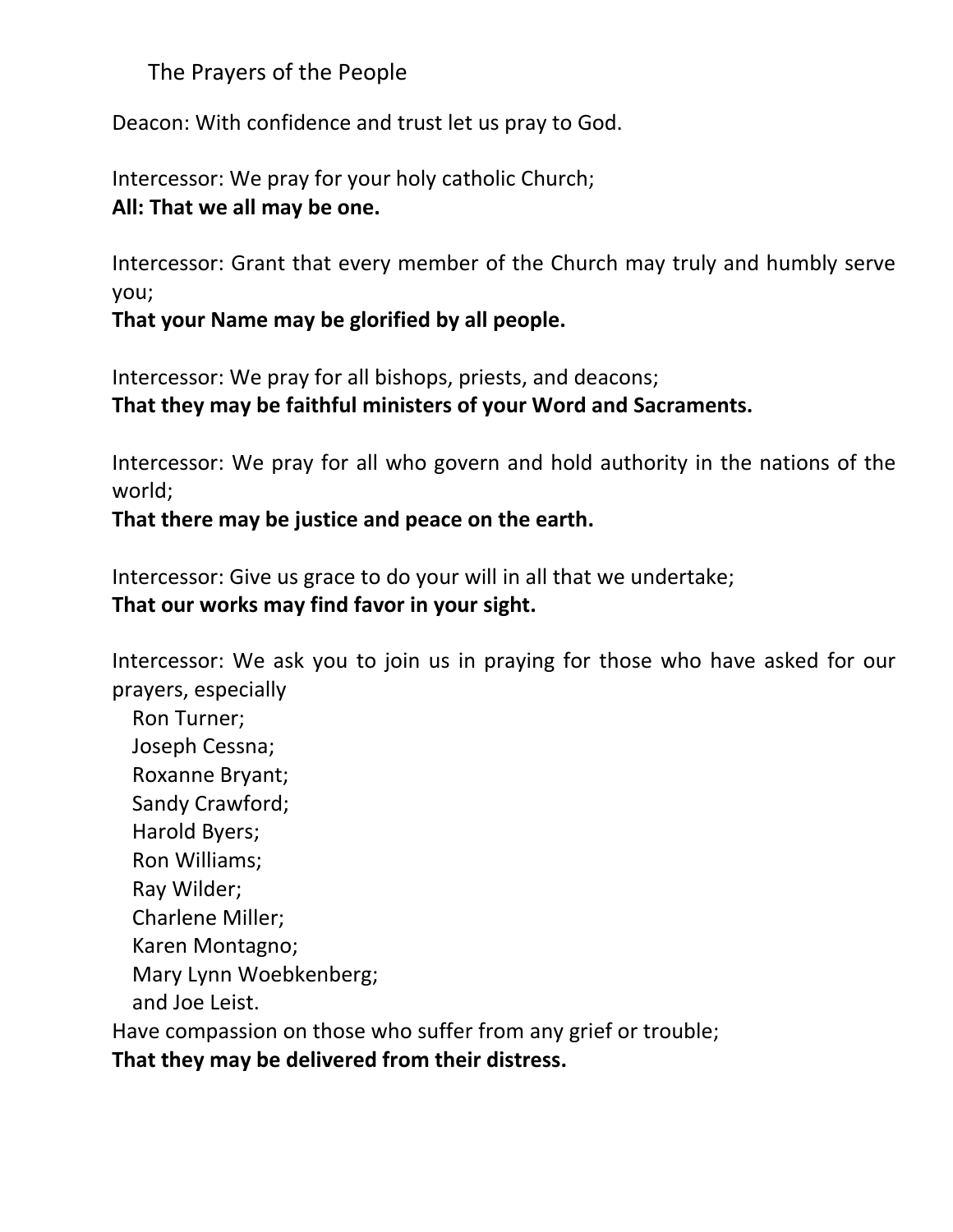The Prayers of the People

Deacon: With confidence and trust let us pray to God.

Intercessor: We pray for your holy catholic Church; **All: That we all may be one.**

Intercessor: Grant that every member of the Church may truly and humbly serve you;

**That your Name may be glorified by all people.**

Intercessor: We pray for all bishops, priests, and deacons; **That they may be faithful ministers of your Word and Sacraments.**

Intercessor: We pray for all who govern and hold authority in the nations of the world;

**That there may be justice and peace on the earth.**

Intercessor: Give us grace to do your will in all that we undertake; **That our works may find favor in your sight.**

Intercessor: We ask you to join us in praying for those who have asked for our prayers, especially

Ron Turner; Joseph Cessna; Roxanne Bryant; Sandy Crawford; Harold Byers; Ron Williams; Ray Wilder; Charlene Miller; Karen Montagno; Mary Lynn Woebkenberg; and Joe Leist. Have compassion on those who suffer from any grief or trouble;

**That they may be delivered from their distress.**